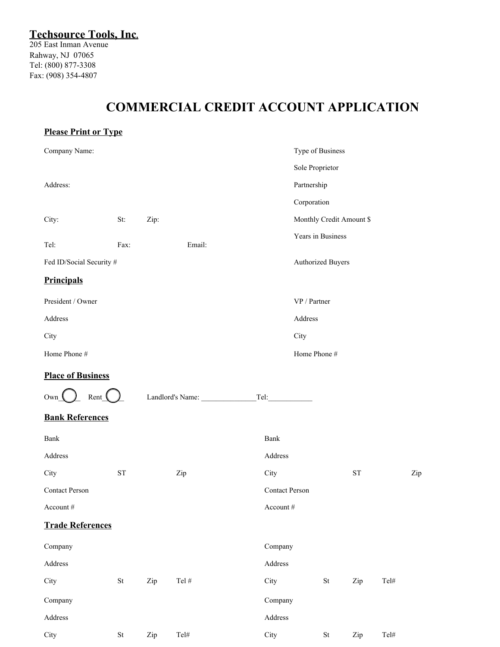## **COMMERCIAL CREDIT ACCOUNT APPLICATION**

| <b>Please Print or Type</b> |                                                                                               |      |                  |                       |                     |                          |      |     |  |
|-----------------------------|-----------------------------------------------------------------------------------------------|------|------------------|-----------------------|---------------------|--------------------------|------|-----|--|
| Company Name:               |                                                                                               |      |                  |                       | Type of Business    |                          |      |     |  |
|                             |                                                                                               |      |                  |                       | Sole Proprietor     |                          |      |     |  |
| Address:                    |                                                                                               |      |                  |                       | Partnership         |                          |      |     |  |
|                             |                                                                                               |      |                  |                       | Corporation         |                          |      |     |  |
| City:                       | St:                                                                                           | Zip: |                  |                       |                     | Monthly Credit Amount \$ |      |     |  |
| Tel:                        | Fax:                                                                                          |      | Email:           |                       | Years in Business   |                          |      |     |  |
| Fed ID/Social Security #    |                                                                                               |      |                  | Authorized Buyers     |                     |                          |      |     |  |
| <b>Principals</b>           |                                                                                               |      |                  |                       |                     |                          |      |     |  |
| President / Owner           |                                                                                               |      |                  |                       | VP / Partner        |                          |      |     |  |
| Address                     |                                                                                               |      |                  | Address               |                     |                          |      |     |  |
| City                        |                                                                                               |      |                  | City                  |                     |                          |      |     |  |
| Home Phone #                |                                                                                               |      |                  |                       | Home Phone #        |                          |      |     |  |
| <b>Place of Business</b>    |                                                                                               |      |                  |                       |                     |                          |      |     |  |
| $Own_$                      | $\text{Rent}$<br>Landlord's Name:                                                             |      |                  | Tel:                  |                     |                          |      |     |  |
| <b>Bank References</b>      |                                                                                               |      |                  |                       |                     |                          |      |     |  |
| Bank                        |                                                                                               |      |                  | Bank                  |                     |                          |      |     |  |
| Address                     |                                                                                               |      |                  | Address               |                     |                          |      |     |  |
| City                        | ${\rm ST}$                                                                                    |      | Zip              | City                  |                     | ${\rm ST}$               |      | Zip |  |
| <b>Contact Person</b>       |                                                                                               |      |                  | <b>Contact Person</b> |                     |                          |      |     |  |
| Account #                   |                                                                                               |      |                  | Account #             |                     |                          |      |     |  |
| <b>Trade References</b>     |                                                                                               |      |                  |                       |                     |                          |      |     |  |
| Company                     |                                                                                               |      |                  | Company               |                     |                          |      |     |  |
| Address                     |                                                                                               |      |                  | Address               |                     |                          |      |     |  |
| City                        | $\operatorname*{St}% \nolimits_{\mathbb{Z}}\left( \mathbb{Z}^{\Sigma\left( 1\right) }\right)$ | Zip  | Tel $\#$         | City                  | $\operatorname{St}$ | Zip                      | Tel# |     |  |
| Company                     |                                                                                               |      |                  | Company               |                     |                          |      |     |  |
| Address                     |                                                                                               |      |                  | Address               |                     |                          |      |     |  |
| City                        | $\operatorname{St}$                                                                           | Zip  | $\mathrm{Tel}\#$ | City                  | $\operatorname{St}$ | Zip                      | Tel# |     |  |